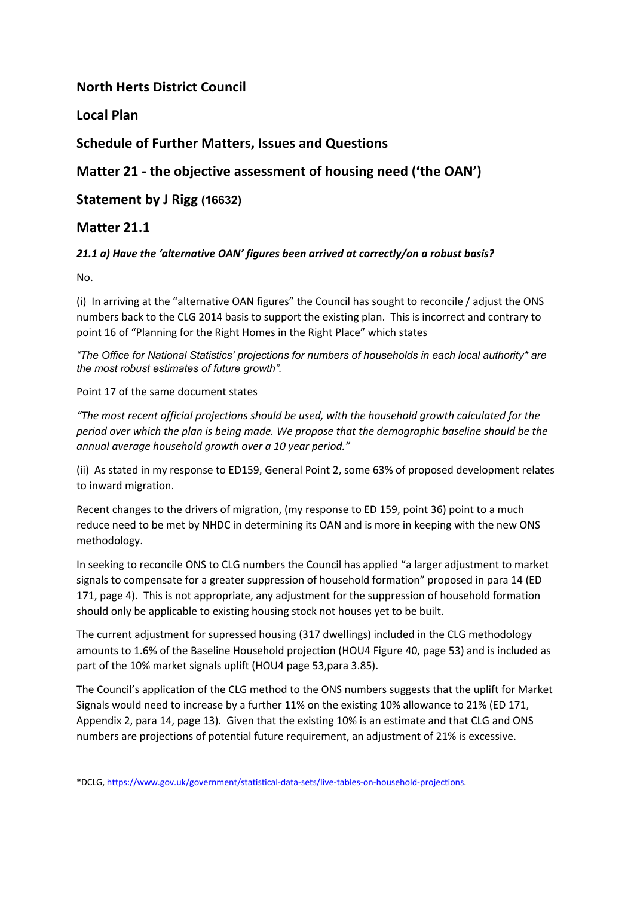# **North Herts District Council**

**Local Plan** 

# **Schedule of Further Matters, Issues and Questions**

**Matter 21 - the objective assessment of housing need ('the OAN')**

**Statement by J Rigg (16632)**

## **Matter 21.1**

### *21.1 a) Have the 'alternative OAN' figures been arrived at correctly/on a robust basis?*

No.

(i) In arriving at the "alternative OAN figures" the Council has sought to reconcile / adjust the ONS numbers back to the CLG 2014 basis to support the existing plan. This is incorrect and contrary to point 16 of "Planning for the Right Homes in the Right Place" which states

*"The Office for National Statistics' projections for numbers of households in each local authority\* are the most robust estimates of future growth".*

Point 17 of the same document states

*"The most recent official projections should be used, with the household growth calculated for the period over which the plan is being made. We propose that the demographic baseline should be the annual average household growth over a 10 year period."*

(ii) As stated in my response to ED159, General Point 2, some 63% of proposed development relates to inward migration.

Recent changes to the drivers of migration, (my response to ED 159, point 36) point to a much reduce need to be met by NHDC in determining its OAN and is more in keeping with the new ONS methodology.

In seeking to reconcile ONS to CLG numbers the Council has applied "a larger adjustment to market signals to compensate for a greater suppression of household formation" proposed in para 14 (ED 171, page 4). This is not appropriate, any adjustment for the suppression of household formation should only be applicable to existing housing stock not houses yet to be built.

The current adjustment for supressed housing (317 dwellings) included in the CLG methodology amounts to 1.6% of the Baseline Household projection (HOU4 Figure 40, page 53) and is included as part of the 10% market signals uplift (HOU4 page 53,para 3.85).

The Council's application of the CLG method to the ONS numbers suggests that the uplift for Market Signals would need to increase by a further 11% on the existing 10% allowance to 21% (ED 171, Appendix 2, para 14, page 13). Given that the existing 10% is an estimate and that CLG and ONS numbers are projections of potential future requirement, an adjustment of 21% is excessive.

<sup>\*</sup>DCLG, https://www.gov.uk/government/statistical-data-sets/live-tables-on-household-projections.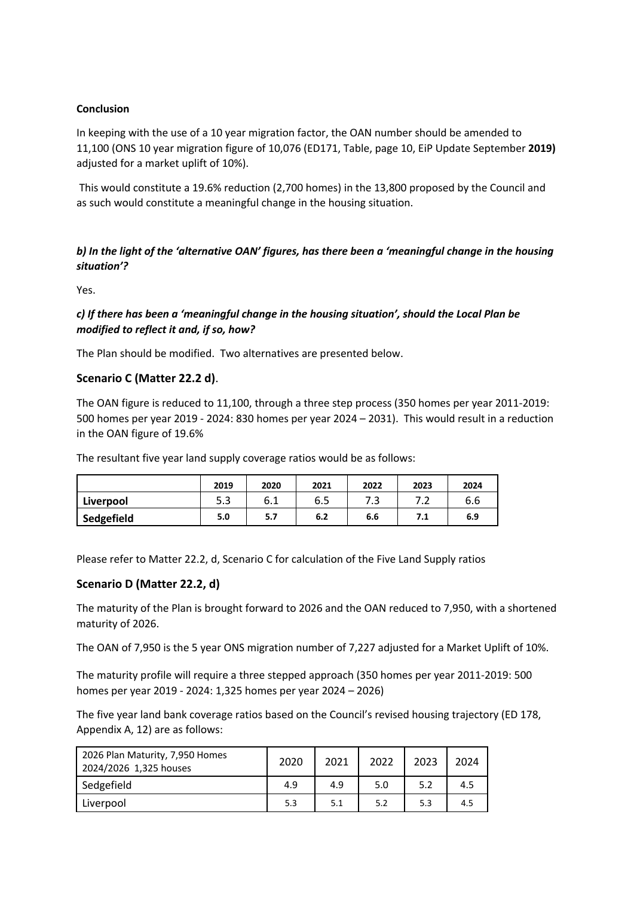#### **Conclusion**

In keeping with the use of a 10 year migration factor, the OAN number should be amended to 11,100 (ONS 10 year migration figure of 10,076 (ED171, Table, page 10, EiP Update September **2019)**  adjusted for a market uplift of 10%).

This would constitute a 19.6% reduction (2,700 homes) in the 13,800 proposed by the Council and as such would constitute a meaningful change in the housing situation.

### *b) In the light of the 'alternative OAN' figures, has there been a 'meaningful change in the housing situation'?*

Yes.

### *c) If there has been a 'meaningful change in the housing situation', should the Local Plan be modified to reflect it and, if so, how?*

The Plan should be modified. Two alternatives are presented below.

#### **Scenario C (Matter 22.2 d)**.

The OAN figure is reduced to 11,100, through a three step process (350 homes per year 2011-2019: 500 homes per year 2019 - 2024: 830 homes per year 2024 – 2031). This would result in a reduction in the OAN figure of 19.6%

The resultant five year land supply coverage ratios would be as follows:

|            | 2019 | 2020 | 2021 | 2022 | 2023 | 2024 |
|------------|------|------|------|------|------|------|
| Liverpool  | 5.3  | 6.1  | 6.5  | ر ،  | ے ،  | 6.6  |
| Sedgefield | 5.0  | 5.7  | 6.2  | 6.6  | 7.1  | 6.9  |

Please refer to Matter 22.2, d, Scenario C for calculation of the Five Land Supply ratios

#### **Scenario D (Matter 22.2, d)**

The maturity of the Plan is brought forward to 2026 and the OAN reduced to 7,950, with a shortened maturity of 2026.

The OAN of 7,950 is the 5 year ONS migration number of 7,227 adjusted for a Market Uplift of 10%.

The maturity profile will require a three stepped approach (350 homes per year 2011-2019: 500 homes per year 2019 - 2024: 1,325 homes per year 2024 – 2026)

The five year land bank coverage ratios based on the Council's revised housing trajectory (ED 178, Appendix A, 12) are as follows:

| 2026 Plan Maturity, 7,950 Homes<br>2024/2026 1,325 houses | 2020 | 2021 | 2022 | 2023 | 2024 |
|-----------------------------------------------------------|------|------|------|------|------|
| Sedgefield                                                | 4.9  | 4.9  | 5.0  | 5.2  | 4.5  |
| Liverpool                                                 | 5.3  | 5.1  | 5.2  | 5.3  | 4.5  |